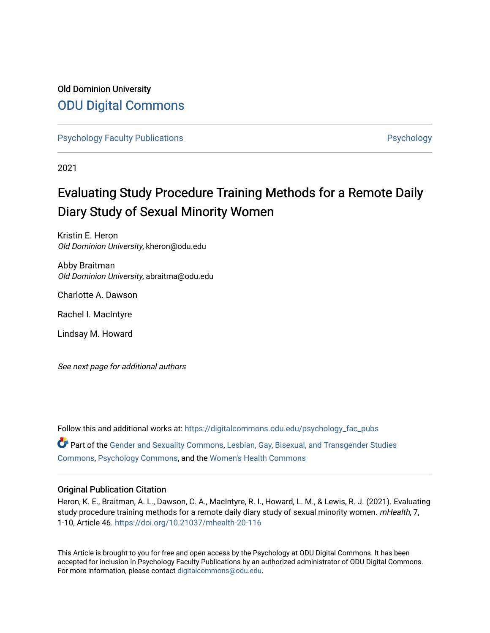# Old Dominion University [ODU Digital Commons](https://digitalcommons.odu.edu/)

[Psychology Faculty Publications](https://digitalcommons.odu.edu/psychology_fac_pubs) **Provides** [Psychology](https://digitalcommons.odu.edu/psychology) **Psychology** 

2021

# Evaluating Study Procedure Training Methods for a Remote Daily Diary Study of Sexual Minority Women

Kristin E. Heron Old Dominion University, kheron@odu.edu

Abby Braitman Old Dominion University, abraitma@odu.edu

Charlotte A. Dawson

Rachel I. MacIntyre

Lindsay M. Howard

See next page for additional authors

Follow this and additional works at: [https://digitalcommons.odu.edu/psychology\\_fac\\_pubs](https://digitalcommons.odu.edu/psychology_fac_pubs?utm_source=digitalcommons.odu.edu%2Fpsychology_fac_pubs%2F117&utm_medium=PDF&utm_campaign=PDFCoverPages) Part of the [Gender and Sexuality Commons](http://network.bepress.com/hgg/discipline/420?utm_source=digitalcommons.odu.edu%2Fpsychology_fac_pubs%2F117&utm_medium=PDF&utm_campaign=PDFCoverPages), [Lesbian, Gay, Bisexual, and Transgender Studies](http://network.bepress.com/hgg/discipline/560?utm_source=digitalcommons.odu.edu%2Fpsychology_fac_pubs%2F117&utm_medium=PDF&utm_campaign=PDFCoverPages) [Commons](http://network.bepress.com/hgg/discipline/560?utm_source=digitalcommons.odu.edu%2Fpsychology_fac_pubs%2F117&utm_medium=PDF&utm_campaign=PDFCoverPages), [Psychology Commons](http://network.bepress.com/hgg/discipline/404?utm_source=digitalcommons.odu.edu%2Fpsychology_fac_pubs%2F117&utm_medium=PDF&utm_campaign=PDFCoverPages), and the [Women's Health Commons](http://network.bepress.com/hgg/discipline/1241?utm_source=digitalcommons.odu.edu%2Fpsychology_fac_pubs%2F117&utm_medium=PDF&utm_campaign=PDFCoverPages)

## Original Publication Citation

Heron, K. E., Braitman, A. L., Dawson, C. A., MacIntyre, R. I., Howard, L. M., & Lewis, R. J. (2021). Evaluating study procedure training methods for a remote daily diary study of sexual minority women. mHealth, 7, 1-10, Article 46. <https://doi.org/10.21037/mhealth-20-116>

This Article is brought to you for free and open access by the Psychology at ODU Digital Commons. It has been accepted for inclusion in Psychology Faculty Publications by an authorized administrator of ODU Digital Commons. For more information, please contact [digitalcommons@odu.edu](mailto:digitalcommons@odu.edu).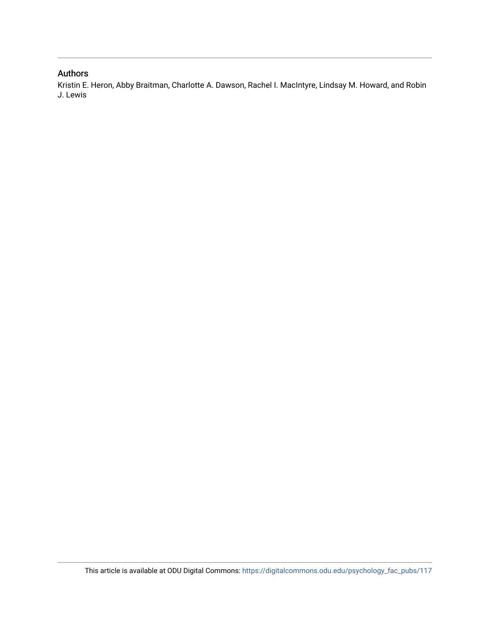# Authors

Kristin E. Heron, Abby Braitman, Charlotte A. Dawson, Rachel I. MacIntyre, Lindsay M. Howard, and Robin J. Lewis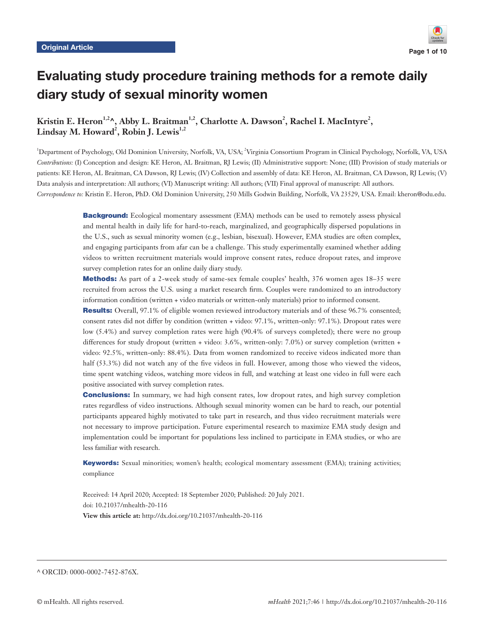

# Evaluating study procedure training methods for a remote daily diary study of sexual minority women

Kristin E. Heron<sup>1,2</sup>^, Abby L. Braitman<sup>1,2</sup>, Charlotte A. Dawson<sup>2</sup>, Rachel I. MacIntyre<sup>2</sup>, Lindsay M. Howard<sup>2</sup>, Robin J. Lewis<sup>1,2</sup>

1 Department of Psychology, Old Dominion University, Norfolk, VA, USA; 2 Virginia Consortium Program in Clinical Psychology, Norfolk, VA, USA *Contributions:* (I) Conception and design: KE Heron, AL Braitman, RJ Lewis; (II) Administrative support: None; (III) Provision of study materials or patients: KE Heron, AL Braitman, CA Dawson, RJ Lewis; (IV) Collection and assembly of data: KE Heron, AL Braitman, CA Dawson, RJ Lewis; (V) Data analysis and interpretation: All authors; (VI) Manuscript writing: All authors; (VII) Final approval of manuscript: All authors. *Correspondence to:* Kristin E. Heron, PhD. Old Dominion University, 250 Mills Godwin Building, Norfolk, VA 23529, USA. Email: kheron@odu.edu.

> **Background:** Ecological momentary assessment (EMA) methods can be used to remotely assess physical and mental health in daily life for hard-to-reach, marginalized, and geographically dispersed populations in the U.S., such as sexual minority women (e.g., lesbian, bisexual). However, EMA studies are often complex, and engaging participants from afar can be a challenge. This study experimentally examined whether adding videos to written recruitment materials would improve consent rates, reduce dropout rates, and improve survey completion rates for an online daily diary study.

> Methods: As part of a 2-week study of same-sex female couples' health, 376 women ages 18–35 were recruited from across the U.S. using a market research firm. Couples were randomized to an introductory information condition (written + video materials or written-only materials) prior to informed consent.

> Results: Overall, 97.1% of eligible women reviewed introductory materials and of these 96.7% consented; consent rates did not differ by condition (written + video: 97.1%, written-only: 97.1%). Dropout rates were low (5.4%) and survey completion rates were high (90.4% of surveys completed); there were no group differences for study dropout (written + video: 3.6%, written-only: 7.0%) or survey completion (written + video: 92.5%, written-only: 88.4%). Data from women randomized to receive videos indicated more than half (53.3%) did not watch any of the five videos in full. However, among those who viewed the videos, time spent watching videos, watching more videos in full, and watching at least one video in full were each positive associated with survey completion rates.

> **Conclusions:** In summary, we had high consent rates, low dropout rates, and high survey completion rates regardless of video instructions. Although sexual minority women can be hard to reach, our potential participants appeared highly motivated to take part in research, and thus video recruitment materials were not necessary to improve participation. Future experimental research to maximize EMA study design and implementation could be important for populations less inclined to participate in EMA studies, or who are less familiar with research.

> Keywords: Sexual minorities; women's health; ecological momentary assessment (EMA); training activities; compliance

Received: 14 April 2020; Accepted: 18 September 2020; Published: 20 July 2021. doi: 10.21037/mhealth-20-116 **View this article at:** http://dx.doi.org/10.21037/mhealth-20-116

^ ORCID: 0000-0002-7452-876X.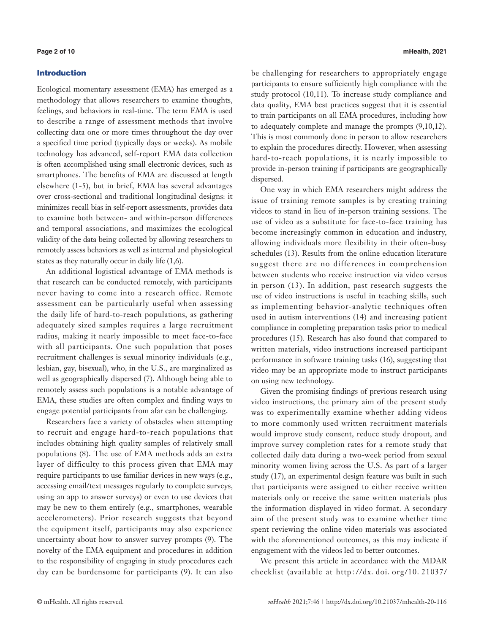#### Introduction

Ecological momentary assessment (EMA) has emerged as a methodology that allows researchers to examine thoughts, feelings, and behaviors in real-time. The term EMA is used to describe a range of assessment methods that involve collecting data one or more times throughout the day over a specified time period (typically days or weeks). As mobile technology has advanced, self-report EMA data collection is often accomplished using small electronic devices, such as smartphones. The benefits of EMA are discussed at length elsewhere (1-5), but in brief, EMA has several advantages over cross-sectional and traditional longitudinal designs: it minimizes recall bias in self-report assessments, provides data to examine both between- and within-person differences and temporal associations, and maximizes the ecological validity of the data being collected by allowing researchers to remotely assess behaviors as well as internal and physiological states as they naturally occur in daily life (1,6).

An additional logistical advantage of EMA methods is that research can be conducted remotely, with participants never having to come into a research office. Remote assessment can be particularly useful when assessing the daily life of hard-to-reach populations, as gathering adequately sized samples requires a large recruitment radius, making it nearly impossible to meet face-to-face with all participants. One such population that poses recruitment challenges is sexual minority individuals (e.g., lesbian, gay, bisexual), who, in the U.S., are marginalized as well as geographically dispersed (7). Although being able to remotely assess such populations is a notable advantage of EMA, these studies are often complex and finding ways to engage potential participants from afar can be challenging.

Researchers face a variety of obstacles when attempting to recruit and engage hard-to-reach populations that includes obtaining high quality samples of relatively small populations (8). The use of EMA methods adds an extra layer of difficulty to this process given that EMA may require participants to use familiar devices in new ways (e.g., accessing email/text messages regularly to complete surveys, using an app to answer surveys) or even to use devices that may be new to them entirely (e.g., smartphones, wearable accelerometers). Prior research suggests that beyond the equipment itself, participants may also experience uncertainty about how to answer survey prompts (9). The novelty of the EMA equipment and procedures in addition to the responsibility of engaging in study procedures each day can be burdensome for participants (9). It can also

be challenging for researchers to appropriately engage participants to ensure sufficiently high compliance with the study protocol (10,11). To increase study compliance and data quality, EMA best practices suggest that it is essential to train participants on all EMA procedures, including how to adequately complete and manage the prompts (9,10,12). This is most commonly done in person to allow researchers to explain the procedures directly. However, when assessing hard-to-reach populations, it is nearly impossible to provide in-person training if participants are geographically dispersed.

One way in which EMA researchers might address the issue of training remote samples is by creating training videos to stand in lieu of in-person training sessions. The use of video as a substitute for face-to-face training has become increasingly common in education and industry, allowing individuals more flexibility in their often-busy schedules (13). Results from the online education literature suggest there are no differences in comprehension between students who receive instruction via video versus in person (13). In addition, past research suggests the use of video instructions is useful in teaching skills, such as implementing behavior-analytic techniques often used in autism interventions (14) and increasing patient compliance in completing preparation tasks prior to medical procedures (15). Research has also found that compared to written materials, video instructions increased participant performance in software training tasks (16), suggesting that video may be an appropriate mode to instruct participants on using new technology.

Given the promising findings of previous research using video instructions, the primary aim of the present study was to experimentally examine whether adding videos to more commonly used written recruitment materials would improve study consent, reduce study dropout, and improve survey completion rates for a remote study that collected daily data during a two-week period from sexual minority women living across the U.S. As part of a larger study (17), an experimental design feature was built in such that participants were assigned to either receive written materials only or receive the same written materials plus the information displayed in video format. A secondary aim of the present study was to examine whether time spent reviewing the online video materials was associated with the aforementioned outcomes, as this may indicate if engagement with the videos led to better outcomes.

We present this article in accordance with the MDAR checklist (available at http://dx.doi.org/10.[21037/](http://dx.doi.org/10.21037/mhealth-20-116)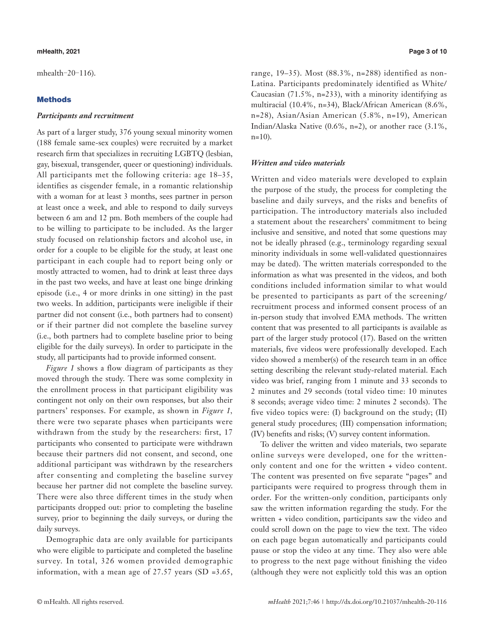#### **mHealth, 2021 Page 3 of 10**

[mhealth](http://dx.doi.org/10.21037/mhealth-20-116)-20-116).

### **Methods**

#### *Participants and recruitment*

As part of a larger study, 376 young sexual minority women (188 female same-sex couples) were recruited by a market research firm that specializes in recruiting LGBTQ (lesbian, gay, bisexual, transgender, queer or questioning) individuals. All participants met the following criteria: age 18–35, identifies as cisgender female, in a romantic relationship with a woman for at least 3 months, sees partner in person at least once a week, and able to respond to daily surveys between 6 am and 12 pm. Both members of the couple had to be willing to participate to be included. As the larger study focused on relationship factors and alcohol use, in order for a couple to be eligible for the study, at least one participant in each couple had to report being only or mostly attracted to women, had to drink at least three days in the past two weeks, and have at least one binge drinking episode (i.e., 4 or more drinks in one sitting) in the past two weeks. In addition, participants were ineligible if their partner did not consent (i.e., both partners had to consent) or if their partner did not complete the baseline survey (i.e., both partners had to complete baseline prior to being eligible for the daily surveys). In order to participate in the study, all participants had to provide informed consent.

*Figure 1* shows a flow diagram of participants as they moved through the study. There was some complexity in the enrollment process in that participant eligibility was contingent not only on their own responses, but also their partners' responses. For example, as shown in *Figure 1,* there were two separate phases when participants were withdrawn from the study by the researchers: first, 17 participants who consented to participate were withdrawn because their partners did not consent, and second, one additional participant was withdrawn by the researchers after consenting and completing the baseline survey because her partner did not complete the baseline survey. There were also three different times in the study when participants dropped out: prior to completing the baseline survey, prior to beginning the daily surveys, or during the daily surveys.

Demographic data are only available for participants who were eligible to participate and completed the baseline survey. In total, 326 women provided demographic information, with a mean age of  $27.57$  years (SD =3.65, range, 19–35). Most (88.3%, n=288) identified as non-Latina. Participants predominately identified as White/ Caucasian (71.5%, n=233), with a minority identifying as multiracial (10.4%, n=34), Black/African American (8.6%, n=28), Asian/Asian American (5.8%, n=19), American Indian/Alaska Native (0.6%, n=2), or another race (3.1%,  $n=10$ ).

### *Written and video materials*

Written and video materials were developed to explain the purpose of the study, the process for completing the baseline and daily surveys, and the risks and benefits of participation. The introductory materials also included a statement about the researchers' commitment to being inclusive and sensitive, and noted that some questions may not be ideally phrased (e.g., terminology regarding sexual minority individuals in some well-validated questionnaires may be dated). The written materials corresponded to the information as what was presented in the videos, and both conditions included information similar to what would be presented to participants as part of the screening/ recruitment process and informed consent process of an in-person study that involved EMA methods. The written content that was presented to all participants is available as part of the larger study protocol (17). Based on the written materials, five videos were professionally developed. Each video showed a member(s) of the research team in an office setting describing the relevant study-related material. Each video was brief, ranging from 1 minute and 33 seconds to 2 minutes and 29 seconds (total video time: 10 minutes 8 seconds; average video time: 2 minutes 2 seconds). The five video topics were: (I) background on the study; (II) general study procedures; (III) compensation information; (IV) benefits and risks; (V) survey content information.

To deliver the written and video materials, two separate online surveys were developed, one for the writtenonly content and one for the written + video content. The content was presented on five separate "pages" and participants were required to progress through them in order. For the written-only condition, participants only saw the written information regarding the study. For the written + video condition, participants saw the video and could scroll down on the page to view the text. The video on each page began automatically and participants could pause or stop the video at any time. They also were able to progress to the next page without finishing the video (although they were not explicitly told this was an option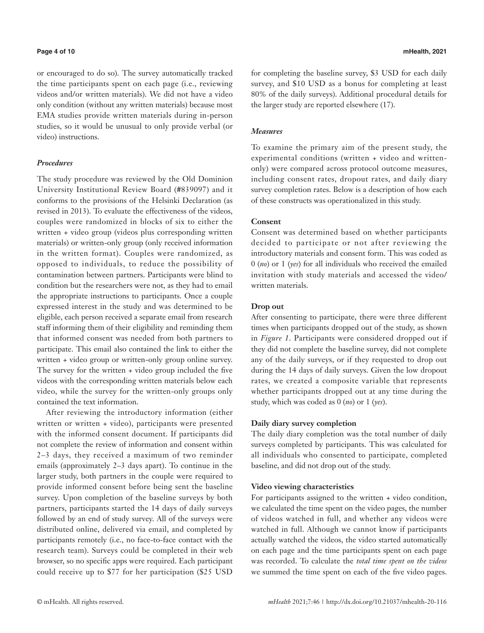or encouraged to do so). The survey automatically tracked the time participants spent on each page (i.e., reviewing videos and/or written materials). We did not have a video only condition (without any written materials) because most EMA studies provide written materials during in-person studies, so it would be unusual to only provide verbal (or video) instructions.

### *Procedures*

The study procedure was reviewed by the Old Dominion University Institutional Review Board (#839097) and it conforms to the provisions of the Helsinki Declaration (as revised in 2013). To evaluate the effectiveness of the videos, couples were randomized in blocks of six to either the written + video group (videos plus corresponding written materials) or written-only group (only received information in the written format). Couples were randomized, as opposed to individuals, to reduce the possibility of contamination between partners. Participants were blind to condition but the researchers were not, as they had to email the appropriate instructions to participants. Once a couple expressed interest in the study and was determined to be eligible, each person received a separate email from research staff informing them of their eligibility and reminding them that informed consent was needed from both partners to participate. This email also contained the link to either the written + video group or written-only group online survey. The survey for the written + video group included the five videos with the corresponding written materials below each video, while the survey for the written-only groups only contained the text information.

After reviewing the introductory information (either written or written + video), participants were presented with the informed consent document. If participants did not complete the review of information and consent within 2–3 days, they received a maximum of two reminder emails (approximately 2–3 days apart). To continue in the larger study, both partners in the couple were required to provide informed consent before being sent the baseline survey. Upon completion of the baseline surveys by both partners, participants started the 14 days of daily surveys followed by an end of study survey. All of the surveys were distributed online, delivered via email, and completed by participants remotely (i.e., no face-to-face contact with the research team). Surveys could be completed in their web browser, so no specific apps were required. Each participant could receive up to \$77 for her participation (\$25 USD

for completing the baseline survey, \$3 USD for each daily survey, and \$10 USD as a bonus for completing at least 80% of the daily surveys). Additional procedural details for the larger study are reported elsewhere (17).

### *Measures*

To examine the primary aim of the present study, the experimental conditions (written + video and writtenonly) were compared across protocol outcome measures, including consent rates, dropout rates, and daily diary survey completion rates. Below is a description of how each of these constructs was operationalized in this study.

#### **Consent**

Consent was determined based on whether participants decided to participate or not after reviewing the introductory materials and consent form. This was coded as 0 (*no*) or 1 (*yes*) for all individuals who received the emailed invitation with study materials and accessed the video/ written materials.

### **Drop out**

After consenting to participate, there were three different times when participants dropped out of the study, as shown in *Figure 1*. Participants were considered dropped out if they did not complete the baseline survey, did not complete any of the daily surveys, or if they requested to drop out during the 14 days of daily surveys. Given the low dropout rates, we created a composite variable that represents whether participants dropped out at any time during the study, which was coded as 0 (*no*) or 1 (*yes*).

#### **Daily diary survey completion**

The daily diary completion was the total number of daily surveys completed by participants. This was calculated for all individuals who consented to participate, completed baseline, and did not drop out of the study.

#### **Video viewing characteristics**

For participants assigned to the written + video condition, we calculated the time spent on the video pages, the number of videos watched in full, and whether any videos were watched in full. Although we cannot know if participants actually watched the videos, the video started automatically on each page and the time participants spent on each page was recorded. To calculate the *total time spent on the videos* we summed the time spent on each of the five video pages.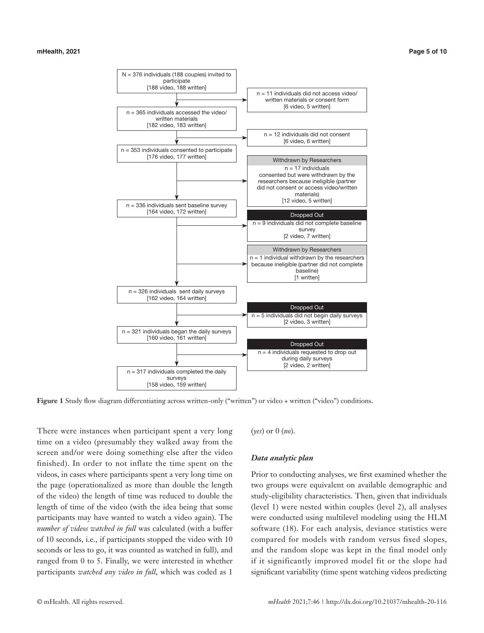

**Figure 1** Study flow diagram differentiating across written-only ("written") or video + written ("video") conditions.

There were instances when participant spent a very long time on a video (presumably they walked away from the screen and/or were doing something else after the video finished). In order to not inflate the time spent on the videos, in cases where participants spent a very long time on the page (operationalized as more than double the length of the video) the length of time was reduced to double the length of time of the video (with the idea being that some participants may have wanted to watch a video again). The *number of videos watched in full* was calculated (with a buffer of 10 seconds, i.e., if participants stopped the video with 10 seconds or less to go, it was counted as watched in full), and ranged from 0 to 5. Finally, we were interested in whether participants *watched any video in full*, which was coded as 1

(*yes*) or 0 (*no*).

#### *Data analytic plan*

Prior to conducting analyses, we first examined whether the two groups were equivalent on available demographic and study-eligibility characteristics. Then, given that individuals (level 1) were nested within couples (level 2), all analyses were conducted using multilevel modeling using the HLM software (18). For each analysis, deviance statistics were compared for models with random versus fixed slopes, and the random slope was kept in the final model only if it significantly improved model fit or the slope had significant variability (time spent watching videos predicting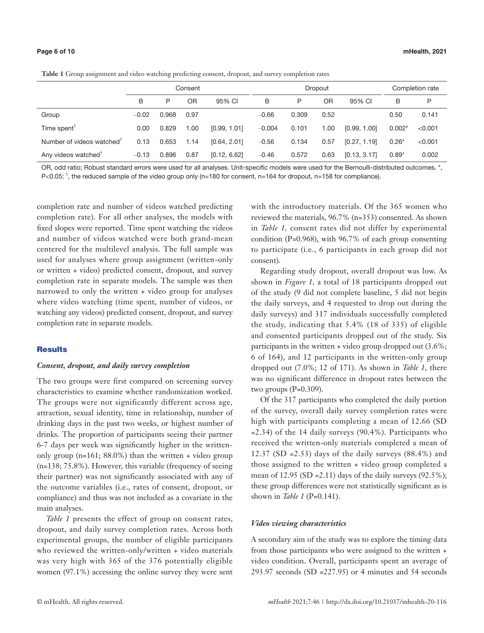|                                       | Consent |       |      |              | <b>Dropout</b> |       |      |              | Completion rate |         |
|---------------------------------------|---------|-------|------|--------------|----------------|-------|------|--------------|-----------------|---------|
|                                       | B       | P     | 0R   | 95% CI       | B              | P     | OR   | 95% CI       | B               | P       |
| Group                                 | $-0.02$ | 0.968 | 0.97 |              | $-0.66$        | 0.309 | 0.52 |              | 0.50            | 0.141   |
| Time spent $T$                        | 0.00    | 0.829 | 1.00 | [0.99, 1.01] | $-0.004$       | 0.101 | 1.00 | [0.99, 1.00] | $0.002*$        | < 0.001 |
| Number of videos watched <sup>T</sup> | 0.13    | 0.653 | 1.14 | [0.64, 2.01] | $-0.56$        | 0.134 | 0.57 | [0.27, 1.19] | $0.26*$         | < 0.001 |
| Any videos watched <sup>T</sup>       | $-0.13$ | 0.896 | 0.87 | [0.12, 6.62] | $-0.46$        | 0.572 | 0.63 | [0.13, 3.17] | $0.89*$         | 0.002   |

OR, odd ratio; Robust standard errors were used for all analyses. Unit-specific models were used for the Bernoulli-distributed outcomes. \*, P<0.05; <sup>†</sup>, the reduced sample of the video group only (n=180 for consent, n=164 for dropout, n=158 for compliance).

completion rate and number of videos watched predicting completion rate). For all other analyses, the models with fixed slopes were reported. Time spent watching the videos and number of videos watched were both grand-mean centered for the multilevel analysis. The full sample was used for analyses where group assignment (written-only or written + video) predicted consent, dropout, and survey completion rate in separate models. The sample was then narrowed to only the written + video group for analyses where video watching (time spent, number of videos, or watching any videos) predicted consent, dropout, and survey completion rate in separate models.

#### **Results**

#### *Consent, dropout, and daily survey completion*

The two groups were first compared on screening survey characteristics to examine whether randomization worked. The groups were not significantly different across age, attraction, sexual identity, time in relationship, number of drinking days in the past two weeks, or highest number of drinks. The proportion of participants seeing their partner 6-7 days per week was significantly higher in the writtenonly group ( $n=161$ ; 88.0%) than the written  $+$  video group (n=138; 75.8%). However, this variable (frequency of seeing their partner) was not significantly associated with any of the outcome variables (i.e., rates of consent, dropout, or compliance) and thus was not included as a covariate in the main analyses.

*Table 1* presents the effect of group on consent rates, dropout, and daily survey completion rates. Across both experimental groups, the number of eligible participants who reviewed the written-only/written + video materials was very high with 365 of the 376 potentially eligible women (97.1%) accessing the online survey they were sent

with the introductory materials. Of the 365 women who reviewed the materials, 96.7% (n=353) consented. As shown in *Table 1,* consent rates did not differ by experimental condition (P=0.968), with 96.7% of each group consenting to participate (i.e., 6 participants in each group did not consent).

Regarding study dropout, overall dropout was low. As shown in *Figure 1,* a total of 18 participants dropped out of the study (9 did not complete baseline, 5 did not begin the daily surveys, and 4 requested to drop out during the daily surveys) and 317 individuals successfully completed the study, indicating that 5.4% (18 of 335) of eligible and consented participants dropped out of the study. Six participants in the written + video group dropped out (3.6%; 6 of 164), and 12 participants in the written-only group dropped out (7.0%; 12 of 171). As shown in *Table 1,* there was no significant difference in dropout rates between the two groups  $(P=0.309)$ .

Of the 317 participants who completed the daily portion of the survey, overall daily survey completion rates were high with participants completing a mean of 12.66 (SD =2.34) of the 14 daily surveys (90.4%). Participants who received the written-only materials completed a mean of 12.37 (SD = 2.53) days of the daily surveys  $(88.4\%)$  and those assigned to the written + video group completed a mean of 12.95 (SD = 2.11) days of the daily surveys  $(92.5\%)$ ; these group differences were not statistically significant as is shown in *Table 1* (P=0.141).

#### *Video viewing characteristics*

A secondary aim of the study was to explore the timing data from those participants who were assigned to the written + video condition. Overall, participants spent an average of 293.97 seconds (SD =227.95) or 4 minutes and 54 seconds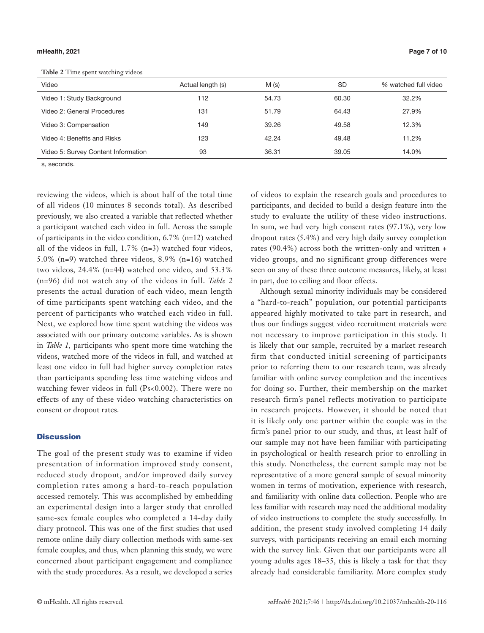#### **mHealth, 2021 Page 7 of 10**

**Table 2** Time spent watching videos

| Video                               | Actual length (s) | M(s)  | <b>SD</b> | % watched full video |
|-------------------------------------|-------------------|-------|-----------|----------------------|
| Video 1: Study Background           | 112               | 54.73 | 60.30     | 32.2%                |
| Video 2: General Procedures         | 131               | 51.79 | 64.43     | 27.9%                |
| Video 3: Compensation               | 149               | 39.26 | 49.58     | 12.3%                |
| Video 4: Benefits and Risks         | 123               | 42.24 | 49.48     | 11.2%                |
| Video 5: Survey Content Information | 93                | 36.31 | 39.05     | 14.0%                |

s, seconds.

reviewing the videos, which is about half of the total time of all videos (10 minutes 8 seconds total). As described previously, we also created a variable that reflected whether a participant watched each video in full. Across the sample of participants in the video condition, 6.7% (n=12) watched all of the videos in full, 1.7% (n=3) watched four videos, 5.0% (n=9) watched three videos, 8.9% (n=16) watched two videos, 24.4% (n=44) watched one video, and 53.3% (n=96) did not watch any of the videos in full. *Table 2* presents the actual duration of each video, mean length of time participants spent watching each video, and the percent of participants who watched each video in full. Next, we explored how time spent watching the videos was associated with our primary outcome variables. As is shown in *Table 1,* participants who spent more time watching the videos, watched more of the videos in full, and watched at least one video in full had higher survey completion rates than participants spending less time watching videos and watching fewer videos in full (Ps<0.002). There were no effects of any of these video watching characteristics on consent or dropout rates.

#### **Discussion**

The goal of the present study was to examine if video presentation of information improved study consent, reduced study dropout, and/or improved daily survey completion rates among a hard-to-reach population accessed remotely. This was accomplished by embedding an experimental design into a larger study that enrolled same-sex female couples who completed a 14-day daily diary protocol. This was one of the first studies that used remote online daily diary collection methods with same-sex female couples, and thus, when planning this study, we were concerned about participant engagement and compliance with the study procedures. As a result, we developed a series

of videos to explain the research goals and procedures to participants, and decided to build a design feature into the study to evaluate the utility of these video instructions. In sum, we had very high consent rates (97.1%), very low dropout rates (5.4%) and very high daily survey completion rates (90.4%) across both the written-only and written + video groups, and no significant group differences were seen on any of these three outcome measures, likely, at least in part, due to ceiling and floor effects.

Although sexual minority individuals may be considered a "hard-to-reach" population, our potential participants appeared highly motivated to take part in research, and thus our findings suggest video recruitment materials were not necessary to improve participation in this study. It is likely that our sample, recruited by a market research firm that conducted initial screening of participants prior to referring them to our research team, was already familiar with online survey completion and the incentives for doing so. Further, their membership on the market research firm's panel reflects motivation to participate in research projects. However, it should be noted that it is likely only one partner within the couple was in the firm's panel prior to our study, and thus, at least half of our sample may not have been familiar with participating in psychological or health research prior to enrolling in this study. Nonetheless, the current sample may not be representative of a more general sample of sexual minority women in terms of motivation, experience with research, and familiarity with online data collection. People who are less familiar with research may need the additional modality of video instructions to complete the study successfully. In addition, the present study involved completing 14 daily surveys, with participants receiving an email each morning with the survey link. Given that our participants were all young adults ages 18–35, this is likely a task for that they already had considerable familiarity. More complex study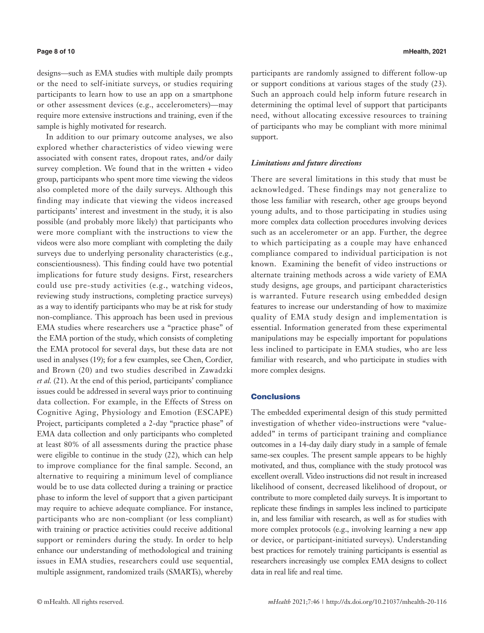In addition to our primary outcome analyses, we also explored whether characteristics of video viewing were associated with consent rates, dropout rates, and/or daily survey completion. We found that in the written + video group, participants who spent more time viewing the videos also completed more of the daily surveys. Although this finding may indicate that viewing the videos increased participants' interest and investment in the study, it is also possible (and probably more likely) that participants who were more compliant with the instructions to view the videos were also more compliant with completing the daily surveys due to underlying personality characteristics (e.g., conscientiousness). This finding could have two potential implications for future study designs. First, researchers could use pre-study activities (e.g., watching videos, reviewing study instructions, completing practice surveys) as a way to identify participants who may be at risk for study non-compliance. This approach has been used in previous EMA studies where researchers use a "practice phase" of the EMA portion of the study, which consists of completing the EMA protocol for several days, but these data are not used in analyses (19); for a few examples, see Chen, Cordier, and Brown (20) and two studies described in Zawadzki *et al.* (21). At the end of this period, participants' compliance issues could be addressed in several ways prior to continuing data collection. For example, in the Effects of Stress on Cognitive Aging, Physiology and Emotion (ESCAPE) Project, participants completed a 2-day "practice phase" of EMA data collection and only participants who completed at least 80% of all assessments during the practice phase were eligible to continue in the study (22), which can help to improve compliance for the final sample. Second, an alternative to requiring a minimum level of compliance would be to use data collected during a training or practice phase to inform the level of support that a given participant may require to achieve adequate compliance. For instance, participants who are non-compliant (or less compliant) with training or practice activities could receive additional support or reminders during the study. In order to help enhance our understanding of methodological and training issues in EMA studies, researchers could use sequential, multiple assignment, randomized trails (SMARTs), whereby

participants are randomly assigned to different follow-up or support conditions at various stages of the study (23). Such an approach could help inform future research in determining the optimal level of support that participants need, without allocating excessive resources to training of participants who may be compliant with more minimal support.

#### *Limitations and future directions*

There are several limitations in this study that must be acknowledged. These findings may not generalize to those less familiar with research, other age groups beyond young adults, and to those participating in studies using more complex data collection procedures involving devices such as an accelerometer or an app. Further, the degree to which participating as a couple may have enhanced compliance compared to individual participation is not known. Examining the benefit of video instructions or alternate training methods across a wide variety of EMA study designs, age groups, and participant characteristics is warranted. Future research using embedded design features to increase our understanding of how to maximize quality of EMA study design and implementation is essential. Information generated from these experimental manipulations may be especially important for populations less inclined to participate in EMA studies, who are less familiar with research, and who participate in studies with more complex designs.

## **Conclusions**

The embedded experimental design of this study permitted investigation of whether video-instructions were "valueadded" in terms of participant training and compliance outcomes in a 14-day daily diary study in a sample of female same-sex couples. The present sample appears to be highly motivated, and thus, compliance with the study protocol was excellent overall. Video instructions did not result in increased likelihood of consent, decreased likelihood of dropout, or contribute to more completed daily surveys. It is important to replicate these findings in samples less inclined to participate in, and less familiar with research, as well as for studies with more complex protocols (e.g., involving learning a new app or device, or participant-initiated surveys). Understanding best practices for remotely training participants is essential as researchers increasingly use complex EMA designs to collect data in real life and real time.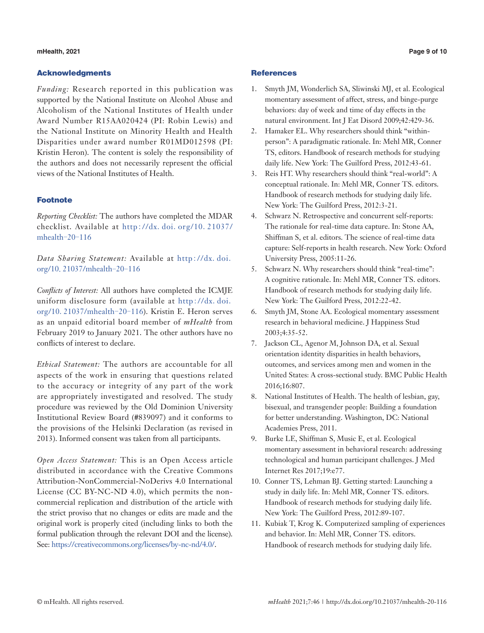#### **mHealth, 2021 Page 9 of 10**

#### Acknowledgments

*Funding:* Research reported in this publication was supported by the National Institute on Alcohol Abuse and Alcoholism of the National Institutes of Health under Award Number R15AA020424 (PI: Robin Lewis) and the National Institute on Minority Health and Health Disparities under award number R01MD012598 (PI: Kristin Heron). The content is solely the responsibility of the authors and does not necessarily represent the official views of the National Institutes of Health.

## Footnote

*Reporting Checklist:* The authors have completed the MDAR checklist. Available at http://dx.doi.org/10.[21037/](http://dx.doi.org/10.21037/mhealth-20-116) [mhealth](http://dx.doi.org/10.21037/mhealth-20-116)-20-116

*Data Sharing Statement:* Available at [http](http://dx.doi.org/10.21037/mhealth-20-116)://dx.doi. org/10.[21037/mhealth](http://dx.doi.org/10.21037/mhealth-20-116)-20-116

*Conflicts of Interest:* All authors have completed the ICMJE uniform disclosure form (available at [http](http://dx.doi.org/10.21037/mhealth-20-116)://dx.doi. org/10.[21037/mhealth](http://dx.doi.org/10.21037/mhealth-20-116)-20-116). Kristin E. Heron serves as an unpaid editorial board member of *mHealth* from February 2019 to January 2021. The other authors have no conflicts of interest to declare.

*Ethical Statement:* The authors are accountable for all aspects of the work in ensuring that questions related to the accuracy or integrity of any part of the work are appropriately investigated and resolved. The study procedure was reviewed by the Old Dominion University Institutional Review Board (#839097) and it conforms to the provisions of the Helsinki Declaration (as revised in 2013). Informed consent was taken from all participants.

*Open Access Statement:* This is an Open Access article distributed in accordance with the Creative Commons Attribution-NonCommercial-NoDerivs 4.0 International License (CC BY-NC-ND 4.0), which permits the noncommercial replication and distribution of the article with the strict proviso that no changes or edits are made and the original work is properly cited (including links to both the formal publication through the relevant DOI and the license). See: [https://creativecommons.org/licenses/by-nc-nd/4.0/.](https://creativecommons.org/licenses/by-nc-nd/4.0/)

### **References**

- 1. Smyth JM, Wonderlich SA, Sliwinski MJ, et al. Ecological momentary assessment of affect, stress, and binge-purge behaviors: day of week and time of day effects in the natural environment. Int J Eat Disord 2009;42:429-36.
- 2. Hamaker EL. Why researchers should think "withinperson": A paradigmatic rationale. In: Mehl MR, Conner TS, editors. Handbook of research methods for studying daily life. New York: The Guilford Press, 2012:43-61.
- 3. Reis HT. Why researchers should think "real-world": A conceptual rationale. In: Mehl MR, Conner TS. editors. Handbook of research methods for studying daily life. New York: The Guilford Press, 2012:3-21.
- 4. Schwarz N. Retrospective and concurrent self-reports: The rationale for real-time data capture. In: Stone AA, Shiffman S, et al. editors. The science of real-time data capture: Self-reports in health research. New York: Oxford University Press, 2005:11-26.
- 5. Schwarz N. Why researchers should think "real-time": A cognitive rationale. In: Mehl MR, Conner TS. editors. Handbook of research methods for studying daily life. New York: The Guilford Press, 2012:22-42.
- 6. Smyth JM, Stone AA. Ecological momentary assessment research in behavioral medicine. J Happiness Stud 2003;4:35-52.
- 7. Jackson CL, Agenor M, Johnson DA, et al. Sexual orientation identity disparities in health behaviors, outcomes, and services among men and women in the United States: A cross-sectional study. BMC Public Health 2016;16:807.
- 8. National Institutes of Health. The health of lesbian, gay, bisexual, and transgender people: Building a foundation for better understanding. Washington, DC: National Academies Press, 2011.
- 9. Burke LE, Shiffman S, Music E, et al. Ecological momentary assessment in behavioral research: addressing technological and human participant challenges. J Med Internet Res 2017;19:e77.
- 10. Conner TS, Lehman BJ. Getting started: Launching a study in daily life. In: Mehl MR, Conner TS. editors. Handbook of research methods for studying daily life. New York: The Guilford Press, 2012:89-107.
- 11. Kubiak T, Krog K. Computerized sampling of experiences and behavior. In: Mehl MR, Conner TS. editors. Handbook of research methods for studying daily life.